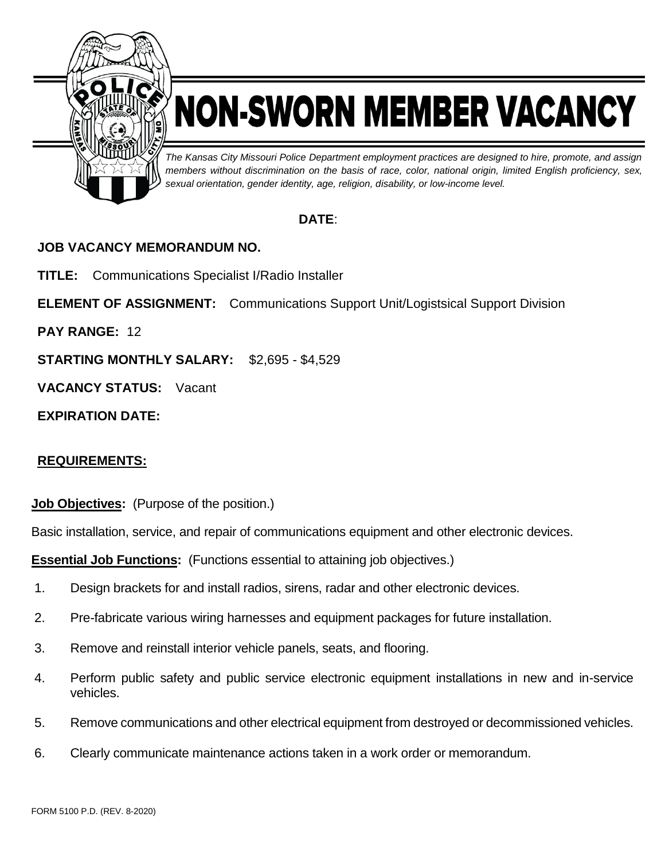

# NON-SWORN MEMBER VACANCY

*The Kansas City Missouri Police Department employment practices are designed to hire, promote, and assign members without discrimination on the basis of race, color, national origin, limited English proficiency, sex, sexual orientation, gender identity, age, religion, disability, or low-income level.*

# **DATE**:

# **JOB VACANCY MEMORANDUM NO.**

**TITLE:** Communications Specialist I/Radio Installer

**ELEMENT OF ASSIGNMENT:** Communications Support Unit/Logistsical Support Division

**PAY RANGE:** 12

**STARTING MONTHLY SALARY:** \$2,695 - \$4,529

**VACANCY STATUS:** Vacant

**EXPIRATION DATE:**

# **REQUIREMENTS:**

**Job Objectives:** (Purpose of the position.)

Basic installation, service, and repair of communications equipment and other electronic devices.

**Essential Job Functions:** (Functions essential to attaining job objectives.)

- 1. Design brackets for and install radios, sirens, radar and other electronic devices.
- 2. Pre-fabricate various wiring harnesses and equipment packages for future installation.
- 3. Remove and reinstall interior vehicle panels, seats, and flooring.
- 4. Perform public safety and public service electronic equipment installations in new and in-service vehicles.
- 5. Remove communications and other electrical equipment from destroyed or decommissioned vehicles.
- 6. Clearly communicate maintenance actions taken in a work order or memorandum.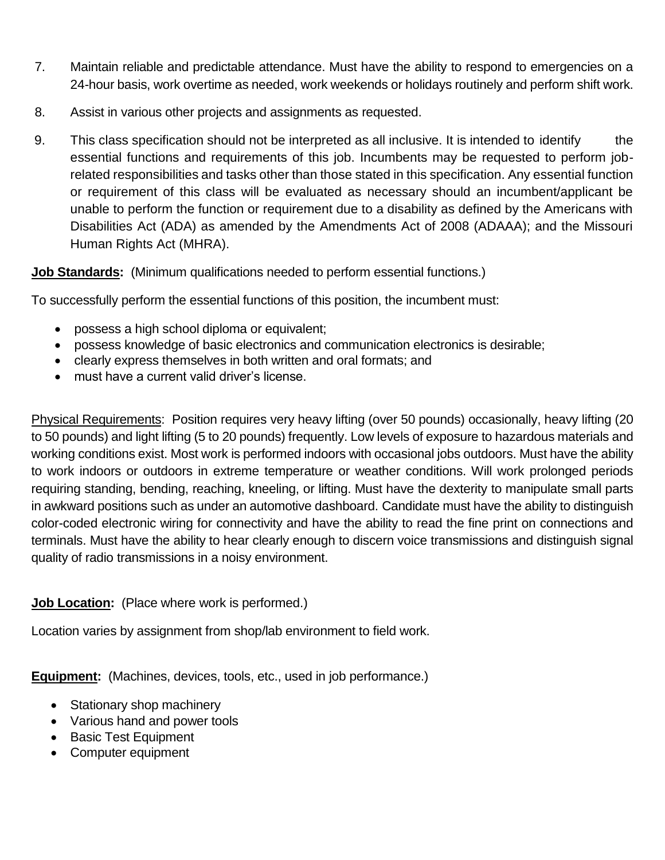- 7. Maintain reliable and predictable attendance. Must have the ability to respond to emergencies on a 24-hour basis, work overtime as needed, work weekends or holidays routinely and perform shift work.
- 8. Assist in various other projects and assignments as requested.
- 9. This class specification should not be interpreted as all inclusive. It is intended to identify the essential functions and requirements of this job. Incumbents may be requested to perform jobrelated responsibilities and tasks other than those stated in this specification. Any essential function or requirement of this class will be evaluated as necessary should an incumbent/applicant be unable to perform the function or requirement due to a disability as defined by the Americans with Disabilities Act (ADA) as amended by the Amendments Act of 2008 (ADAAA); and the Missouri Human Rights Act (MHRA).

### **Job Standards:** (Minimum qualifications needed to perform essential functions.)

To successfully perform the essential functions of this position, the incumbent must:

- possess a high school diploma or equivalent;
- possess knowledge of basic electronics and communication electronics is desirable;
- clearly express themselves in both written and oral formats; and
- must have a current valid driver's license.

Physical Requirements: Position requires very heavy lifting (over 50 pounds) occasionally, heavy lifting (20 to 50 pounds) and light lifting (5 to 20 pounds) frequently. Low levels of exposure to hazardous materials and working conditions exist. Most work is performed indoors with occasional jobs outdoors. Must have the ability to work indoors or outdoors in extreme temperature or weather conditions. Will work prolonged periods requiring standing, bending, reaching, kneeling, or lifting. Must have the dexterity to manipulate small parts in awkward positions such as under an automotive dashboard. Candidate must have the ability to distinguish color-coded electronic wiring for connectivity and have the ability to read the fine print on connections and terminals. Must have the ability to hear clearly enough to discern voice transmissions and distinguish signal quality of radio transmissions in a noisy environment.

### **Job Location:** (Place where work is performed.)

Location varies by assignment from shop/lab environment to field work.

**Equipment:** (Machines, devices, tools, etc., used in job performance.)

- Stationary shop machinery
- Various hand and power tools
- Basic Test Equipment
- Computer equipment